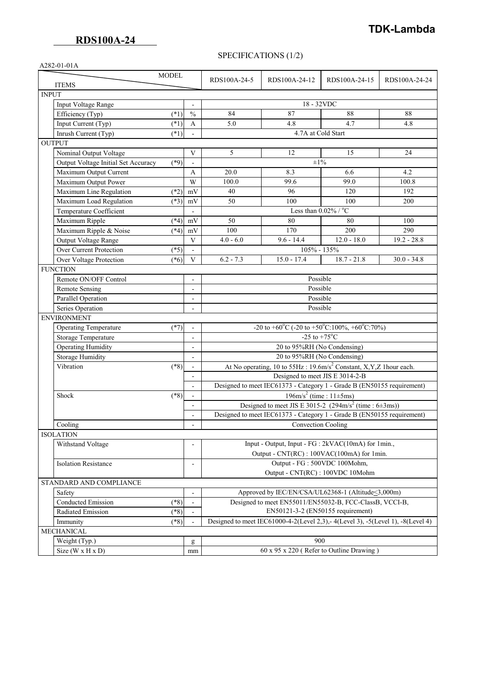# **TDK-Lambda**

### SPECIFICATIONS (1/2)

| A282-01-01A                                   |                                    |                                                                                         |                    |               |                                                   |  |
|-----------------------------------------------|------------------------------------|-----------------------------------------------------------------------------------------|--------------------|---------------|---------------------------------------------------|--|
| <b>MODEL</b>                                  |                                    |                                                                                         |                    |               |                                                   |  |
| <b>ITEMS</b>                                  |                                    | RDS100A-24-5                                                                            | RDS100A-24-12      | RDS100A-24-15 | RDS100A-24-24                                     |  |
| <b>INPUT</b>                                  |                                    |                                                                                         |                    |               |                                                   |  |
| Input Voltage Range                           |                                    | $18 - 32VDC$                                                                            |                    |               |                                                   |  |
| $(*1)$<br>Efficiency (Typ)                    | $\frac{0}{0}$                      | 84                                                                                      | 87                 | 88            | 88                                                |  |
| Input Current (Typ)<br>$(*1)$                 | A                                  | 5.0                                                                                     | 4.8                | 4.7           | 4.8                                               |  |
| $(*1)$<br>Inrush Current (Typ)                |                                    |                                                                                         | 4.7A at Cold Start |               |                                                   |  |
| <b>OUTPUT</b>                                 |                                    |                                                                                         |                    |               |                                                   |  |
| Nominal Output Voltage                        | V                                  | 5                                                                                       | 12                 | 15            | 24                                                |  |
| Output Voltage Initial Set Accuracy<br>$(*9)$ | $\blacksquare$                     |                                                                                         | $\pm 1\%$          |               |                                                   |  |
| Maximum Output Current                        | A                                  | 20.0                                                                                    | 8.3                | 6.6           | 4.2                                               |  |
| Maximum Output Power                          | W                                  | 100.0                                                                                   | 99.6               | 99.0          | 100.8                                             |  |
| Maximum Line Regulation<br>$(*2)$             | mV                                 | 40                                                                                      | 96                 | 120           | 192                                               |  |
| Maximum Load Regulation<br>$(*3)$             | mV                                 | 50                                                                                      | 100                | 100           | 200                                               |  |
| Temperature Coefficient                       | $\frac{1}{2}$                      | Less than $0.02\sqrt[9]{\cdot}$ / °C                                                    |                    |               |                                                   |  |
| Maximum Ripple<br>$(*4)$                      | mV                                 | 50                                                                                      | 80                 | 80            | 100                                               |  |
| Maximum Ripple & Noise<br>$(*4)$              | mV                                 | 100                                                                                     | 170                | 200           | 290                                               |  |
| Output Voltage Range                          | V                                  | $4.0 - 6.0$                                                                             | $9.6 - 14.4$       | $12.0 - 18.0$ | $19.2 - 28.8$                                     |  |
| Over Current Protection<br>$(*5)$             | $\frac{1}{2}$                      | $105% - 135%$                                                                           |                    |               |                                                   |  |
| Over Voltage Protection<br>$(*6)$             | V                                  | $6.2 - 7.3$                                                                             | $15.0 - 17.4$      | $18.7 - 21.8$ | $30.0 - 34.8$                                     |  |
| <b>FUNCTION</b>                               |                                    |                                                                                         |                    |               |                                                   |  |
| Remote ON/OFF Control                         | $\overline{\phantom{0}}$           | Possible                                                                                |                    |               |                                                   |  |
| Remote Sensing                                | $\frac{1}{2}$                      | Possible                                                                                |                    |               |                                                   |  |
| Parallel Operation                            | $\overline{\phantom{0}}$           | Possible                                                                                |                    |               |                                                   |  |
| Series Operation                              | $\frac{1}{2}$                      | Possible                                                                                |                    |               |                                                   |  |
| <b>ENVIRONMENT</b>                            |                                    |                                                                                         |                    |               |                                                   |  |
| <b>Operating Temperature</b><br>$(*7)$        | $\blacksquare$                     | $-20$ to +60°C (-20 to +50°C:100%, +60°C:70%)                                           |                    |               |                                                   |  |
| Storage Temperature                           | $\blacksquare$                     | $-25$ to $+75^{\circ}$ C                                                                |                    |               |                                                   |  |
| <b>Operating Humidity</b>                     | $\overline{\phantom{0}}$           | 20 to 95%RH (No Condensing)                                                             |                    |               |                                                   |  |
| <b>Storage Humidity</b>                       | $\overline{\phantom{0}}$           | 20 to 95%RH (No Condensing)                                                             |                    |               |                                                   |  |
| Vibration<br>$(*8)$                           | $\overline{\phantom{a}}$           | At No operating, 10 to $55\text{Hz}$ : 19.6m/s <sup>2</sup> Constant, X,Y,Z 1hour each. |                    |               |                                                   |  |
|                                               | -                                  | Designed to meet JIS E 3014-2-B                                                         |                    |               |                                                   |  |
|                                               | $\frac{1}{2}$                      | Designed to meet IEC61373 - Category 1 - Grade B (EN50155 requirement)                  |                    |               |                                                   |  |
| Shock                                         | $(*8)$<br>$\overline{\phantom{a}}$ |                                                                                         |                    |               | $196 \text{m/s}^2$ (time : $11 \pm 5 \text{ms}$ ) |  |
|                                               | $\blacksquare$                     | Designed to meet JIS E 3015-2 (294m/s <sup>2</sup> (time : 6±3ms))                      |                    |               |                                                   |  |
|                                               |                                    | Designed to meet IEC61373 - Category 1 - Grade B (EN50155 requirement)                  |                    |               |                                                   |  |
| Cooling                                       | $\frac{1}{2}$                      | <b>Convection Cooling</b>                                                               |                    |               |                                                   |  |
| <b>ISOLATION</b>                              |                                    |                                                                                         |                    |               |                                                   |  |
| Withstand Voltage                             |                                    | Input - Output, Input - FG : 2kVAC(10mA) for 1min.,                                     |                    |               |                                                   |  |
|                                               |                                    | Output - CNT(RC) : 100VAC(100mA) for 1min.                                              |                    |               |                                                   |  |
| <b>Isolation Resistance</b>                   | $\overline{\phantom{0}}$           | Output - FG: 500VDC 100Mohm,                                                            |                    |               |                                                   |  |
|                                               |                                    | Output - CNT(RC) : 100VDC 10Mohm                                                        |                    |               |                                                   |  |
| STANDARD AND COMPLIANCE                       |                                    |                                                                                         |                    |               |                                                   |  |
| Safety                                        | $\overline{a}$                     | Approved by IEC/EN/CSA/UL62368-1 (Altitude < 3,000m)                                    |                    |               |                                                   |  |
| Conducted Emission<br>$(*8)$                  | $\frac{1}{2}$                      | Designed to meet EN55011/EN55032-B, FCC-ClassB, VCCI-B,                                 |                    |               |                                                   |  |
| Radiated Emission<br>$(*8)$                   |                                    | EN50121-3-2 (EN50155 requirement)                                                       |                    |               |                                                   |  |
| $(*8)$<br>Immunity                            |                                    | Designed to meet IEC61000-4-2(Level 2,3), -4(Level 3), -5(Level 1), -8(Level 4)         |                    |               |                                                   |  |
| MECHANICAL                                    |                                    |                                                                                         |                    |               |                                                   |  |
| Weight (Typ.)                                 | g                                  | 900                                                                                     |                    |               |                                                   |  |
| Size (W x H x D)                              | mm                                 | $60 \times 95 \times 220$ (Refer to Outline Drawing)                                    |                    |               |                                                   |  |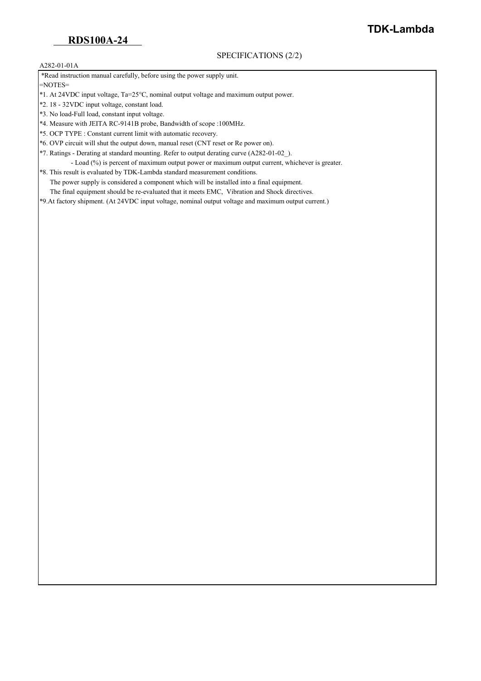#### A282-01-01A

\*Read instruction manual carefully, before using the power supply unit.

=NOTES=

- \*1. At 24VDC input voltage, Ta=25°C, nominal output voltage and maximum output power.
- \*2. 18 32VDC input voltage, constant load.
- \*3. No load-Full load, constant input voltage.
- \*4. Measure with JEITA RC-9141B probe, Bandwidth of scope :100MHz.
- \*5. OCP TYPE : Constant current limit with automatic recovery.
- \*6. OVP circuit will shut the output down, manual reset (CNT reset or Re power on).
- \*7. Ratings Derating at standard mounting. Refer to output derating curve (A282-01-02\_).
- Load (%) is percent of maximum output power or maximum output current, whichever is greater. \*8. This result is evaluated by TDK-Lambda standard measurement conditions.
- The power supply is considered a component which will be installed into a final equipment.
	- The final equipment should be re-evaluated that it meets EMC, Vibration and Shock directives.

\*9.At factory shipment. (At 24VDC input voltage, nominal output voltage and maximum output current.)